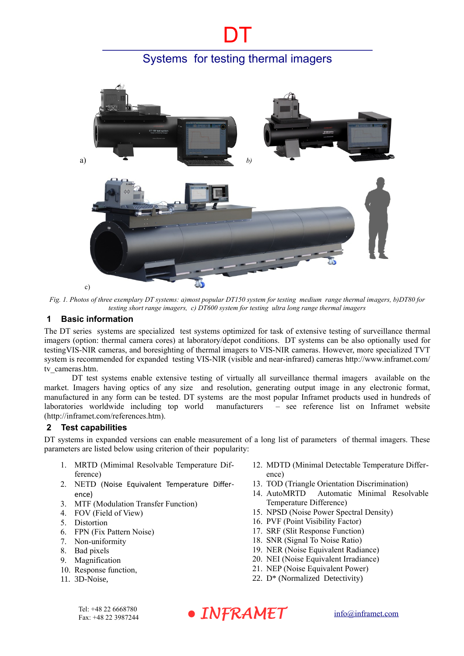DT



*Fig. 1. Photos of three exemplary DT systems: a)most popular DT150 system for testing medium range thermal imagers, b)DT80 for testing short range imagers, c) DT600 system for testing ultra long range thermal imagers*

## **1 Basic information**

The DT series systems are specialized test systems optimized for task of extensive testing of surveillance thermal imagers (option: thermal camera cores) at laboratory/depot conditions. DT systems can be also optionally used for testingVIS-NIR cameras, and boresighting of thermal imagers to VIS-NIR cameras. However, more specialized TVT system is recommended for expanded testing VIS-NIR (visible and near-infrared) cameras http://www.inframet.com/ tv\_cameras.htm.

DT test systems enable extensive testing of virtually all surveillance thermal imagers available on the market. Imagers having optics of any size and resolution, generating output image in any electronic format, manufactured in any form can be tested. DT systems are the most popular Inframet products used in hundreds of laboratories worldwide including top world manufacturers - see reference list on Inframet website manufacturers – see reference list on Inframet website (http://inframet.com/references.htm).

### **2 Test capabilities**

DT systems in expanded versions can enable measurement of a long list of parameters of thermal imagers. These parameters are listed below using criterion of their popularity:

- 1. MRTD (Mimimal Resolvable Temperature Difference)
- 2. NETD (Noise Equivalent Temperature Difference)
- 3. MTF (Modulation Transfer Function)
- 4. FOV (Field of View)
- 5. Distortion
- 6. FPN (Fix Pattern Noise)
- 7. Non-uniformity
- 8. Bad pixels
- 9. Magnification
- 10. Response function,
- 11. 3D-Noise,
- 12. MDTD (Minimal Detectable Temperature Difference)
- 13. TOD (Triangle Orientation Discrimination)
- 14. AutoMRTD Automatic Minimal Resolvable Temperature Difference)
- 15. NPSD (Noise Power Spectral Density)
- 16. PVF (Point Visibility Factor)
- 17. SRF (Slit Response Function)
- 18. SNR (Signal To Noise Ratio)
- 19. NER (Noise Equivalent Radiance)
- 20. NEI (Noise Equivalent Irradiance)
- 21. NEP (Noise Equivalent Power)
- 22. D\* (Normalized Detectivity)

![](_page_0_Picture_31.jpeg)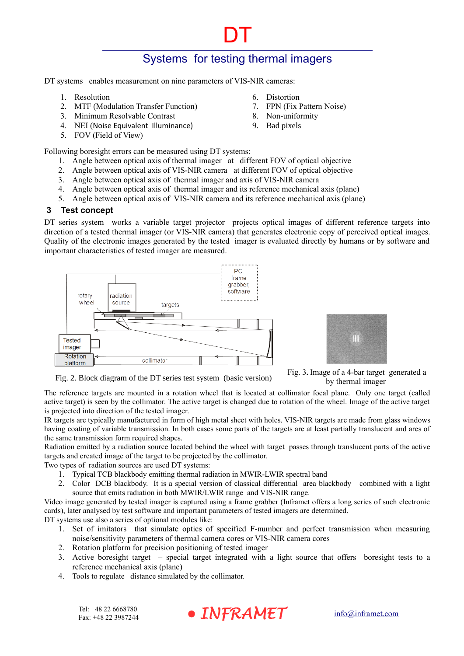6. Distortion

8. Non-uniformity 9. Bad pixels

7. FPN (Fix Pattern Noise)

DT

DT systems enables measurement on nine parameters of VIS-NIR cameras:

- 1. Resolution
- 2. MTF (Modulation Transfer Function)
- 3. Minimum Resolvable Contrast
- 4. NEI (Noise Equivalent Illuminance)
- 5. FOV (Field of View)

Following boresight errors can be measured using DT systems:

- 1. Angle between optical axis of thermal imager at different FOV of optical objective
- 2. Angle between optical axis of VIS-NIR camera at different FOV of optical objective
- 3. Angle between optical axis of thermal imager and axis of VIS-NIR camera
- 4. Angle between optical axis of thermal imager and its reference mechanical axis (plane)
- 5. Angle between optical axis of VIS-NIR camera and its reference mechanical axis (plane)

#### **3 Test concept**

DT series system works a variable target projector projects optical images of different reference targets into direction of a tested thermal imager (or VIS-NIR camera) that generates electronic copy of perceived optical images. Quality of the electronic images generated by the tested imager is evaluated directly by humans or by software and important characteristics of tested imager are measured.

![](_page_1_Figure_15.jpeg)

![](_page_1_Picture_16.jpeg)

Fig. 2. Block diagram of the DT series test system (basic version)

Fig. 3**.** Image of a 4-bar target generated a by thermal imager

The reference targets are mounted in a rotation wheel that is located at collimator focal plane. Only one target (called active target) is seen by the collimator. The active target is changed due to rotation of the wheel. Image of the active target is projected into direction of the tested imager.

IR targets are typically manufactured in form of high metal sheet with holes. VIS-NIR targets are made from glass windows having coating of variable transmission. In both cases some parts of the targets are at least partially translucent and ares of the same transmission form required shapes.

Radiation emitted by a radiation source located behind the wheel with target passes through translucent parts of the active targets and created image of the target to be projected by the collimator.

Two types of radiation sources are used DT systems:

- 1. Typical TCB blackbody emitting thermal radiation in MWIR-LWIR spectral band
- 2. Color DCB blackbody. It is a special version of classical differential area blackbody combined with a light source that emits radiation in both MWIR/LWIR range and VIS-NIR range.

Video image generated by tested imager is captured using a frame grabber (Inframet offers a long series of such electronic cards), later analysed by test software and important parameters of tested imagers are determined. DT systems use also a series of optional modules like:

- 1. Set of imitators that simulate optics of specified F-number and perfect transmission when measuring noise/sensitivity parameters of thermal camera cores or VIS-NIR camera cores
- 2. Rotation platform for precision positioning of tested imager
- 3. Active boresight target special target integrated with a light source that offers boresight tests to a reference mechanical axis (plane)
- 4. Tools to regulate distance simulated by the collimator.

![](_page_1_Picture_31.jpeg)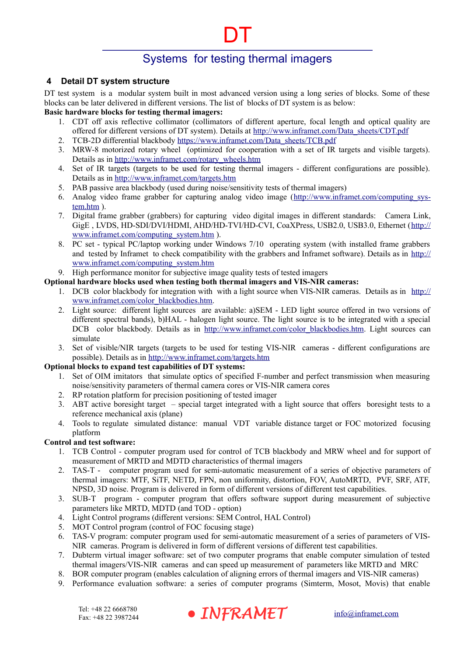DT

## **4 Detail DT system structure**

DT test system is a modular system built in most advanced version using a long series of blocks. Some of these blocks can be later delivered in different versions. The list of blocks of DT system is as below:

## **Basic hardware blocks for testing thermal imagers:**

- 1. CDT off axis reflective collimator (collimators of different aperture, focal length and optical quality are offered for different versions of DT system). Details at [http://www.inframet.com/Data\\_sheets/CDT.pdf](http://www.inframet.com/Data%20sheets/CDT.pdf)
- 2. TCB-2D differential blackbody [https://www.inframet.com/Data\\_sheets/TCB.pdf](https://www.inframet.com/Data%20sheets/TCB.pdf)
- 3. MRW-8 motorized rotary wheel (optimized for cooperation with a set of IR targets and visible targets). Details as in [http://www.inframet.com/rotary\\_wheels.htm](http://www.inframet.com/rotary_wheels.htm)
- 4. Set of IR targets (targets to be used for testing thermal imagers different configurations are possible). Details as in<http://www.inframet.com/targets.htm>
- 5. PAB passive area blackbody (used during noise/sensitivity tests of thermal imagers)
- 6. Analog video frame grabber for capturing analog video image (http://www.inframet.com/computing\_sys[tem.htm](http://www.inframet.com/computing_system.htm) ).
- 7. Digital frame grabber (grabbers) for capturing video digital images in different standards: Camera Link, GigE , LVDS, HD-SDI/DVI/HDMI, AHD/HD-TVI/HD-CVI, CoaXPress, USB2.0, USB3.0, Ethernet ([http://](http://www.inframet.com/computing_system.htm) [www.inframet.com/computing\\_system.htm](http://www.inframet.com/computing_system.htm) ).
- 8. PC set typical PC/laptop working under Windows 7/10 operating system (with installed frame grabbers and tested by Inframet to check compatibility with the grabbers and Inframet software). Details as in [http://](http://www.inframet.com/computing_system.htm) [www.inframet.com/computing\\_system.htm](http://www.inframet.com/computing_system.htm)

### 9. High performance monitor for subjective image quality tests of tested imagers

- **Optional hardware blocks used when testing both thermal imagers and VIS-NIR cameras:**
	- 1. DCB color blackbody for integration with with a light source when VIS-NIR cameras. Details as in [http://](http://www.inframet.com/color_blackbodies.htm) www.inframet.com/color\_blackbodies.htm.
	- 2. Light source: different light sources are available: a)SEM LED light source offered in two versions of different spectral bands), b)HAL - halogen light source. The light source is to be integrated with a special DCB color blackbody. Details as in http://www.inframet.com/color\_blackbodies.htm. Light sources can simulate
	- 3. Set of visible/NIR targets (targets to be used for testing VIS-NIR cameras different configurations are possible). Details as in<http://www.inframet.com/targets.htm>

### **Optional blocks to expand test capabilities of DT systems:**

- 1. Set of OIM imitators that simulate optics of specified F-number and perfect transmission when measuring noise/sensitivity parameters of thermal camera cores or VIS-NIR camera cores
- 2. RP rotation platform for precision positioning of tested imager
- 3. ABT active boresight target special target integrated with a light source that offers boresight tests to a reference mechanical axis (plane)
- 4. Tools to regulate simulated distance: manual VDT variable distance target or FOC motorized focusing platform

### **Control and test software:**

- 1. TCB Control computer program used for control of TCB blackbody and MRW wheel and for support of measurement of MRTD and MDTD characteristics of thermal imagers
- 2. TAS-T computer program used for semi-automatic measurement of a series of objective parameters of thermal imagers: MTF, SiTF, NETD, FPN, non uniformity, distortion, FOV, AutoMRTD, PVF, SRF, ATF, NPSD, 3D noise. Program is delivered in form of different versions of different test capabilities.
- 3. SUB-T program computer program that offers software support during measurement of subjective parameters like MRTD, MDTD (and TOD - option)
- 4. Light Control programs (different versions: SEM Control, HAL Control)
- 5. MOT Control program (control of FOC focusing stage)
- 6. TAS-V program: computer program used for semi-automatic measurement of a series of parameters of VIS-NIR cameras. Program is delivered in form of different versions of different test capabilities.
- 7. Dubterm virtual imager software: set of two computer programs that enable computer simulation of tested thermal imagers/VIS-NIR cameras and can speed up measurement of parameters like MRTD and MRC
- 8. BOR computer program (enables calculation of aligning errors of thermal imagers and VIS-NIR cameras)
- 9. Performance evaluation software: a series of computer programs (Simterm, Mosot, Movis) that enable

![](_page_2_Picture_33.jpeg)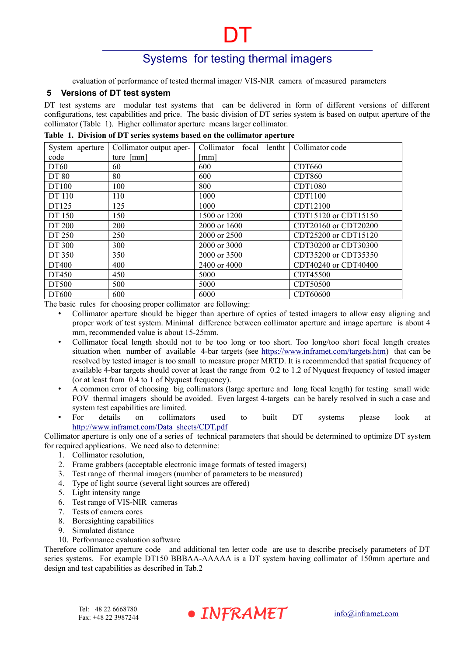DT

evaluation of performance of tested thermal imager/ VIS-NIR camera of measured parameters

#### **5 Versions of DT test system**

DT test systems are modular test systems that can be delivered in form of different versions of different configurations, test capabilities and price. The basic division of DT series system is based on output aperture of the collimator [\(Table 1\)](#page-3-0). Higher collimator aperture means larger collimator.

| Tuble 11 Birliston of B I series systems bused on the commuter uper ture |                         |                         |                      |  |  |  |  |
|--------------------------------------------------------------------------|-------------------------|-------------------------|----------------------|--|--|--|--|
| System aperture                                                          | Collimator output aper- | Collimator focal lentht | Collimator code      |  |  |  |  |
| code                                                                     | ture [mm]               | [mm]                    |                      |  |  |  |  |
| DT60                                                                     | 60                      | 600                     | <b>CDT660</b>        |  |  |  |  |
| <b>DT 80</b>                                                             | 80                      | 600                     | <b>CDT860</b>        |  |  |  |  |
| DT100                                                                    | 100                     | 800                     | <b>CDT1080</b>       |  |  |  |  |
| DT 110                                                                   | 110                     | 1000                    | CDT1100              |  |  |  |  |
| DT125                                                                    | 125                     | 1000                    | CDT12100             |  |  |  |  |
| DT 150                                                                   | 150                     | 1500 or 1200            | CDT15120 or CDT15150 |  |  |  |  |
| DT 200                                                                   | 200                     | 2000 or 1600            | CDT20160 or CDT20200 |  |  |  |  |
| DT 250                                                                   | 250                     | 2000 or 2500            | CDT25200 or CDT15120 |  |  |  |  |
| DT 300                                                                   | 300                     | 2000 or 3000            | CDT30200 or CDT30300 |  |  |  |  |
| DT 350                                                                   | 350                     | 2000 or 3500            | CDT35200 or CDT35350 |  |  |  |  |
| DT400                                                                    | 400                     | 2400 or 4000            | CDT40240 or CDT40400 |  |  |  |  |
| DT450                                                                    | 450                     | 5000                    | CDT45500             |  |  |  |  |
| DT500                                                                    | 500                     | 5000                    | CDT50500             |  |  |  |  |
| DT600                                                                    | 600                     | 6000                    | CDT60600             |  |  |  |  |

#### <span id="page-3-1"></span><span id="page-3-0"></span>**Table 1. Division of DT series systems based on the collimator aperture**

The basic rules for choosing proper collimator are following:

- Collimator aperture should be bigger than aperture of optics of tested imagers to allow easy aligning and proper work of test system. Minimal difference between collimator aperture and image aperture is about 4 mm, recommended value is about 15-25mm.
- Collimator focal length should not to be too long or too short. Too long/too short focal length creates situation when number of available 4-bar targets (see<https://www.inframet.com/targets.htm>) that can be resolved by tested imager is too small to measure proper MRTD. It is recommended that spatial frequency of available 4-bar targets should cover at least the range from 0.2 to 1.2 of Nyquest frequency of tested imager (or at least from 0.4 to 1 of Nyquest frequency).
- A common error of choosing big collimators (large aperture and long focal length) for testing small wide FOV thermal imagers should be avoided. Even largest 4-targets can be barely resolved in such a case and system test capabilities are limited.
- For details on collimators used to built DT systems please look at [http://www.inframet.com/Data\\_sheets/CDT.pdf](http://www.inframet.com/Data%20sheets/CDT.pdf)

Collimator aperture is only one of a series of technical parameters that should be determined to optimize DT system for required applications. We need also to determine:

- 1. Collimator resolution,
- 2. Frame grabbers (acceptable electronic image formats of tested imagers)
- 3. Test range of thermal imagers (number of parameters to be measured)
- 4. Type of light source (several light sources are offered)
- 5. Light intensity range
- 6. Test range of VIS-NIR cameras
- 7. Tests of camera cores
- 8. Boresighting capabilities
- 9. Simulated distance
- 10. Performance evaluation software

Therefore collimator aperture code and additional ten letter code are use to describe precisely parameters of DT series systems. For example DT150 BBBAA-AAAAA is a DT system having collimator of 150mm aperture and design and test capabilities as described in Tab.2

![](_page_3_Picture_24.jpeg)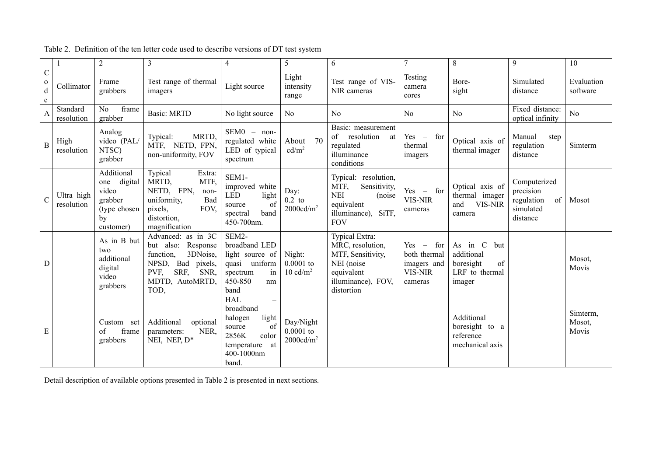|                                                |                          | $\overline{2}$                                                                      | 3                                                                                                                                         | $\overline{4}$                                                                                                                                     | 5                                                 | 6                                                                                                                        | 7                                                                                                  | $\,8\,$                                                                     | 9                                                                      | 10                          |
|------------------------------------------------|--------------------------|-------------------------------------------------------------------------------------|-------------------------------------------------------------------------------------------------------------------------------------------|----------------------------------------------------------------------------------------------------------------------------------------------------|---------------------------------------------------|--------------------------------------------------------------------------------------------------------------------------|----------------------------------------------------------------------------------------------------|-----------------------------------------------------------------------------|------------------------------------------------------------------------|-----------------------------|
| $\overline{C}$<br>$\mathbf{o}$<br>$\rm d$<br>e | Collimator               | Frame<br>grabbers                                                                   | Test range of thermal<br>imagers                                                                                                          | Light source                                                                                                                                       | Light<br>intensity<br>range                       | Test range of VIS-<br>NIR cameras                                                                                        | Testing<br>camera<br>cores                                                                         | Bore-<br>sight                                                              | Simulated<br>distance                                                  | Evaluation<br>software      |
| $\overline{A}$                                 | Standard<br>resolution   | frame<br>No<br>grabber                                                              | Basic: MRTD                                                                                                                               | No light source                                                                                                                                    | N <sub>0</sub>                                    | No                                                                                                                       | N <sub>0</sub>                                                                                     | N <sub>0</sub>                                                              | Fixed distance:<br>optical infinity                                    | No                          |
| $\overline{B}$                                 | High<br>resolution       | Analog<br>video (PAL/<br>NTSC)<br>grabber                                           | MRTD,<br>Typical:<br>MTF, NETD, FPN,<br>non-uniformity, FOV                                                                               | $SEM0 - non-$<br>regulated white<br>LED of typical<br>spectrum                                                                                     | 70<br>About<br>cd/m <sup>2</sup>                  | Basic: measurement<br>of<br>resolution<br>at<br>regulated<br>illuminance<br>conditions                                   | Yes<br>for<br>$\hspace{0.1mm}$ $\hspace{0.1mm}$<br>thermal<br>imagers                              | Optical axis of<br>thermal imager                                           | Manual<br>step<br>regulation<br>distance                               | Simterm                     |
| $\overline{C}$                                 | Ultra high<br>resolution | Additional<br>digital<br>one<br>video<br>grabber<br>(type chosen<br>by<br>customer) | Typical<br>Extra:<br>MTF,<br>MRTD,<br>NETD, FPN,<br>non-<br>uniformity,<br>Bad<br>FOV,<br>pixels,<br>distortion,<br>magnification         | SEM1-<br>improved white<br><b>LED</b><br>light<br>of<br>source<br>band<br>spectral<br>450-700nm.                                                   | Day:<br>$0.2$ to<br>2000cd/m <sup>2</sup>         | Typical: resolution,<br>MTF,<br>Sensitivity,<br><b>NEI</b><br>(noise)<br>equivalent<br>illuminance), SiTF,<br><b>FOV</b> | $Yes - for$<br>VIS-NIR<br>cameras                                                                  | Optical axis of<br>thermal imager<br><b>VIS-NIR</b><br>and<br>camera        | Computerized<br>precision<br>regulation<br>of<br>simulated<br>distance | Mosot                       |
| D                                              |                          | As in B but<br>two<br>additional<br>digital<br>video<br>grabbers                    | Advanced: as in 3C<br>Response<br>but also:<br>3DNoise,<br>function,<br>NPSD, Bad pixels,<br>SRF, SNR,<br>PVF,<br>MDTD, AutoMRTD,<br>TOD, | $SEM2-$<br>broadband LED<br>light source of<br>quasi uniform<br>in<br>spectrum<br>450-850<br>nm<br>band                                            | Night:<br>$0.0001$ to<br>$10 \text{ cd/m}^2$      | Typical Extra:<br>MRC, resolution,<br>MTF, Sensitivity,<br>NEI (noise<br>equivalent<br>illuminance), FOV,<br>distortion  | Yes<br>for<br>$\hspace{0.1mm}-\hspace{0.1mm}$<br>both thermal<br>imagers and<br>VIS-NIR<br>cameras | As in C<br>but<br>additional<br>boresight<br>of<br>LRF to thermal<br>imager |                                                                        | Mosot,<br>Movis             |
| E                                              |                          | Custom set<br>frame<br>of<br>grabbers                                               | Additional<br>optional<br>NER,<br>parameters:<br>NEI, NEP, D*                                                                             | <b>HAL</b><br>$\overline{\phantom{m}}$<br>broadband<br>light<br>halogen<br>of<br>source<br>color<br>2856K<br>temperature at<br>400-1000nm<br>band. | Day/Night<br>$0.0001$ to<br>2000cd/m <sup>2</sup> |                                                                                                                          |                                                                                                    | Additional<br>boresight to a<br>reference<br>mechanical axis                |                                                                        | Simterm,<br>Mosot,<br>Movis |

Table 2. Definition of the ten letter code used to describe versions of DT test system

<span id="page-4-0"></span>Detail description of available options presented in Table 2 is presented in next sections.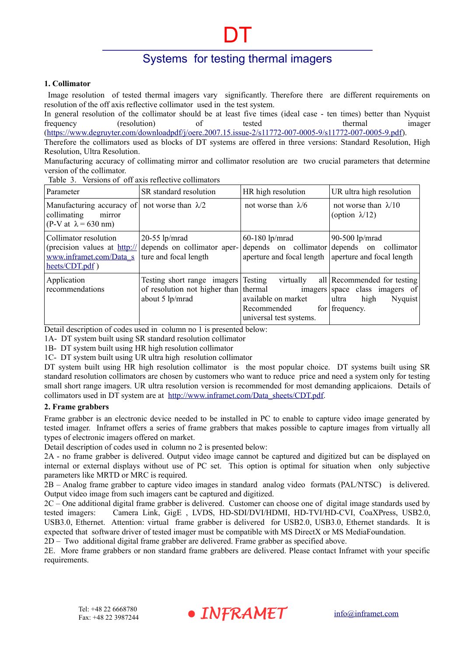DT

#### **1. Collimator**

 Image resolution of tested thermal imagers vary significantly. Therefore there are different requirements on resolution of the off axis reflective collimator used in the test system.

In general resolution of the collimator should be at least five times (ideal case - ten times) better than Nyquist frequency (resolution) of tested thermal imager

[\(https://www.degruyter.com/downloadpdf/j/oere.2007.15.issue-2/s11772-007-0005-9/s11772-007-0005-9.pdf](https://www.degruyter.com/downloadpdf/j/oere.2007.15.issue-2/s11772-007-0005-9/s11772-007-0005-9.pdf)). Therefore the collimators used as blocks of DT systems are offered in three versions: Standard Resolution, High Resolution, Ultra Resolution.

Manufacturing accuracy of collimating mirror and collimator resolution are two crucial parameters that determine version of the collimator.

| Parameter                                                                         | SR standard resolution                                                                                                 | HR high resolution                                                         | UR ultra high resolution                                                                                        |
|-----------------------------------------------------------------------------------|------------------------------------------------------------------------------------------------------------------------|----------------------------------------------------------------------------|-----------------------------------------------------------------------------------------------------------------|
| Manufacturing accuracy of<br>collimating<br>mirror<br>(P-V at $\lambda$ = 630 nm) | not worse than $\lambda/2$                                                                                             | not worse than $\lambda/6$                                                 | not worse than $\lambda/10$<br>(option $\lambda$ /12)                                                           |
| Collimator resolution<br>www.inframet.com/Data_s<br>$heets/CDT.pdf$ )             | $20-55$ lp/mrad<br>(precision values at $\frac{http://}{http://}$ depends on collimator aper-<br>ture and focal length | $60-180$ lp/mrad<br>aperture and focal length                              | 90-500 $lp/mrad$<br>depends on collimator depends on collimator<br>aperture and focal length                    |
| Application<br>recommendations                                                    | Testing short range imagers Testing<br>of resolution not higher than thermal<br>about 5 lp/mrad                        | virtually<br>available on market<br>Recommended<br>universal test systems. | all Recommended for testing<br>imagers space class imagers of<br>high<br>Nyquist<br>ultra<br>for $ $ frequency. |

Table 3. Versions of off axis reflective collimators

Detail description of codes used in column no 1 is presented below:

1A- DT system built using SR standard resolution collimator

1B- DT system built using HR high resolution collimator

1C- DT system built using UR ultra high resolution collimator

DT system built using HR high resolution collimator is the most popular choice. DT systems built using SR standard resolution collimators are chosen by customers who want to reduce price and need a system only for testing small short range imagers. UR ultra resolution version is recommended for most demanding applicaions. Details of collimators used in DT system are at [http://www.inframet.com/Data\\_sheets/CDT.pdf](http://www.inframet.com/Data%20sheets/CDT.pdf).

#### **2. Frame grabbers**

Frame grabber is an electronic device needed to be installed in PC to enable to capture video image generated by tested imager. Inframet offers a series of frame grabbers that makes possible to capture images from virtually all types of electronic imagers offered on market.

Detail description of codes used in column no 2 is presented below:

2A - no frame grabber is delivered. Output video image cannot be captured and digitized but can be displayed on internal or external displays without use of PC set. This option is optimal for situation when only subjective parameters like MRTD or MRC is required.

2B – Analog frame grabber to capture video images in standard analog video formats (PAL/NTSC) is delivered. Output video image from such imagers cant be captured and digitized.

2C – One additional digital frame grabber is delivered. Customer can choose one of digital image standards used by tested imagers: Camera Link, GigE , LVDS, HD-SDI/DVI/HDMI, HD-TVI/HD-CVI, CoaXPress, USB2.0, USB3.0, Ethernet. Attention: virtual frame grabber is delivered for USB2.0, USB3.0, Ethernet standards. It is expected that software driver of tested imager must be compatible with MS DirectX or MS MediaFoundation. 2D – Two additional digital frame grabber are delivered. Frame grabber as specified above.

2E. More frame grabbers or non standard frame grabbers are delivered. Please contact Inframet with your specific requirements.

![](_page_5_Picture_21.jpeg)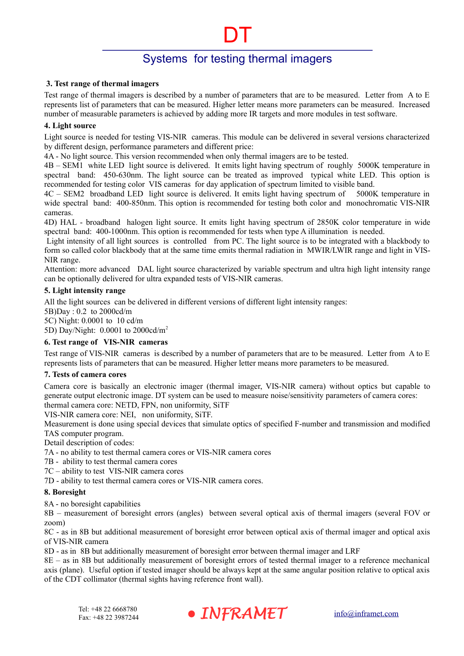DT

#### **3. Test range of thermal imagers**

Test range of thermal imagers is described by a number of parameters that are to be measured. Letter from A to E represents list of parameters that can be measured. Higher letter means more parameters can be measured. Increased number of measurable parameters is achieved by adding more IR targets and more modules in test software.

#### **4. Light source**

Light source is needed for testing VIS-NIR cameras. This module can be delivered in several versions characterized by different design, performance parameters and different price:

4A - No light source. This version recommended when only thermal imagers are to be tested.

4B – SEM1 white LED light source is delivered. It emits light having spectrum of roughly 5000K temperature in spectral band: 450-630nm. The light source can be treated as improved typical white LED. This option is recommended for testing color VIS cameras for day application of spectrum limited to visible band.

4C – SEM2 broadband LED light source is delivered. It emits light having spectrum of 5000K temperature in wide spectral band: 400-850nm. This option is recommended for testing both color and monochromatic VIS-NIR cameras.

4D) HAL - broadband halogen light source. It emits light having spectrum of 2850K color temperature in wide spectral band: 400-1000nm. This option is recommended for tests when type A illumination is needed.

 Light intensity of all light sources is controlled from PC. The light source is to be integrated with a blackbody to form so called color blackbody that at the same time emits thermal radiation in MWIR/LWIR range and light in VIS-NIR range.

Attention: more advanced DAL light source characterized by variable spectrum and ultra high light intensity range can be optionally delivered for ultra expanded tests of VIS-NIR cameras.

#### **5. Light intensity range**

All the light sources can be delivered in different versions of different light intensity ranges:

5B)Day : 0.2 to 2000cd/m

5C) Night: 0.0001 to 10 cd/m

5D) Day/Night: 0.0001 to 2000cd/m<sup>2</sup>

### **6. Test range of VIS-NIR cameras**

Test range of VIS-NIR cameras is described by a number of parameters that are to be measured. Letter from A to E represents lists of parameters that can be measured. Higher letter means more parameters to be measured.

### **7. Tests of camera cores**

Camera core is basically an electronic imager (thermal imager, VIS-NIR camera) without optics but capable to generate output electronic image. DT system can be used to measure noise/sensitivity parameters of camera cores: thermal camera core: NETD, FPN, non uniformity, SiTF

VIS-NIR camera core: NEI, non uniformity, SiTF.

Measurement is done using special devices that simulate optics of specified F-number and transmission and modified TAS computer program.

Detail description of codes:

7A - no ability to test thermal camera cores or VIS-NIR camera cores

7B - ability to test thermal camera cores

7C – ability to test VIS-NIR camera cores

7D - ability to test thermal camera cores or VIS-NIR camera cores.

#### **8. Boresight**

8A - no boresight capabilities

8B – measurement of boresight errors (angles) between several optical axis of thermal imagers (several FOV or zoom)

8C - as in 8B but additional measurement of boresight error between optical axis of thermal imager and optical axis of VIS-NIR camera

8D - as in 8B but additionally measurement of boresight error between thermal imager and LRF

8E – as in 8B but additionally measurement of boresight errors of tested thermal imager to a reference mechanical axis (plane). Useful option if tested imager should be always kept at the same angular position relative to optical axis of the CDT collimator (thermal sights having reference front wall).

![](_page_6_Picture_34.jpeg)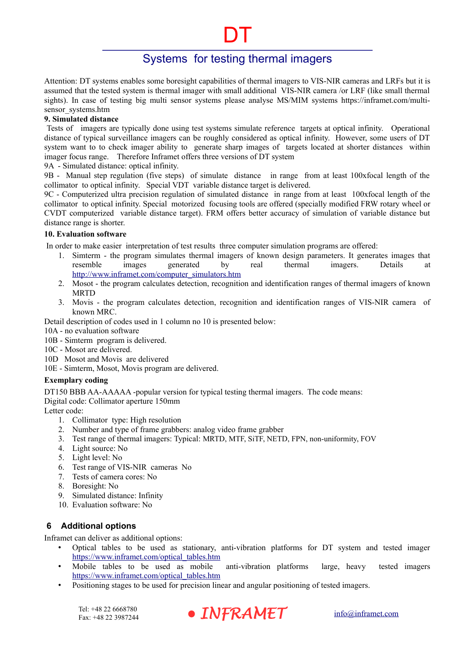DT

Attention: DT systems enables some boresight capabilities of thermal imagers to VIS-NIR cameras and LRFs but it is assumed that the tested system is thermal imager with small additional VIS-NIR camera /or LRF (like small thermal sights). In case of testing big multi sensor systems please analyse MS/MIM systems https://inframet.com/multisensor\_systems.htm

#### **9. Simulated distance**

 Tests of imagers are typically done using test systems simulate reference targets at optical infinity. Operational distance of typical surveillance imagers can be roughly considered as optical infinity. However, some users of DT system want to to check imager ability to generate sharp images of targets located at shorter distances within imager focus range. Therefore Inframet offers three versions of DT system

9A - Simulated distance: optical infinity.

9B - Manual step regulation (five steps) of simulate distance in range from at least 100xfocal length of the collimator to optical infinity. Special VDT variable distance target is delivered.

9C - Computerized ultra precision regulation of simulated distance in range from at least 100xfocal length of the collimator to optical infinity. Special motorized focusing tools are offered (specially modified FRW rotary wheel or CVDT computerized variable distance target). FRM offers better accuracy of simulation of variable distance but distance range is shorter.

## **10. Evaluation software**

In order to make easier interpretation of test results three computer simulation programs are offered:

- 1. Simterm the program simulates thermal imagers of known design parameters. It generates images that resemble images generated by real thermal imagers. Details at [http://www.inframet.com/computer\\_simulators.htm](http://www.inframet.com/computer_simulators.htm)
- 2. Mosot the program calculates detection, recognition and identification ranges of thermal imagers of known **MRTD**
- 3. Movis the program calculates detection, recognition and identification ranges of VIS-NIR camera of known MRC.

Detail description of codes used in [1](#page-3-1) column no 10 is presented below:

- 10A no evaluation software
- 10B Simterm program is delivered.
- 10C Mosot are delivered.
- 10D Mosot and Movis are delivered

10E - Simterm, Mosot, Movis program are delivered.

### **Exemplary coding**

DT150 BBB AA-AAAAA -popular version for typical testing thermal imagers. The code means: Digital code: Collimator aperture 150mm

Letter code:

- 1. Collimator type: High resolution
- 2. Number and type of frame grabbers: analog video frame grabber
- 3. Test range of thermal imagers: Typical: MRTD, MTF, SiTF, NETD, FPN, non-uniformity, FOV
- 4. Light source: No
- 5. Light level: No
- 6. Test range of VIS-NIR cameras No
- 7. Tests of camera cores: No
- 8. Boresight: No
- 9. Simulated distance: Infinity
- 10. Evaluation software: No

## **6 Additional options**

Inframet can deliver as additional options:

- Optical tables to be used as stationary, anti-vibration platforms for DT system and tested imager [https://www.inframet.com/optical\\_tables.htm](https://www.inframet.com/optical_tables.htm)
- Mobile tables to be used as mobile anti-vibration platforms large, heavy tested imagers [https://www.inframet.com/optical\\_tables.htm](https://www.inframet.com/optical_tables.htm)
- Positioning stages to be used for precision linear and angular positioning of tested imagers.

![](_page_7_Picture_37.jpeg)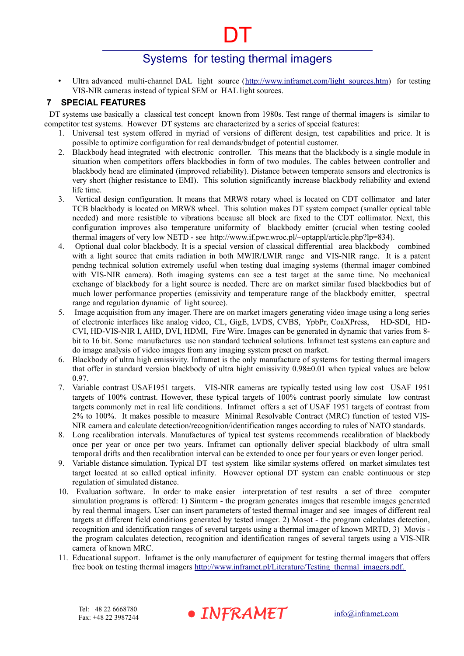DT

Ultra advanced multi-channel DAL light source (http://www.inframet.com/light sources.htm) for testing VIS-NIR cameras instead of typical SEM or HAL light sources.

## **7 SPECIAL FEATURES**

 DT systems use basically a classical test concept known from 1980s. Test range of thermal imagers is similar to competitor test systems. However DT systems are characterized by a series of special features:

- 1. Universal test system offered in myriad of versions of different design, test capabilities and price. It is possible to optimize configuration for real demands/budget of potential customer.
- 2. Blackbody head integrated with electronic controller. This means that the blackbody is a single module in situation when competitors offers blackbodies in form of two modules. The cables between controller and blackbody head are eliminated (improved reliability). Distance between temperate sensors and electronics is very short (higher resistance to EMI). This solution significantly increase blackbody reliability and extend life time.
- 3. Vertical design configuration. It means that MRW8 rotary wheel is located on CDT collimator and later TCB blackbody is located on MRW8 wheel. This solution makes DT system compact (smaller optical table needed) and more resistible to vibrations because all block are fixed to the CDT collimator. Next, this configuration improves also temperature uniformity of blackbody emitter (crucial when testing cooled thermal imagers of very low NETD - see http://www.if.pwr.wroc.pl/~optappl/article.php?lp=834).
- 4. Optional dual color blackbody. It is a special version of classical differential area blackbody combined with a light source that emits radiation in both MWIR/LWIR range and VIS-NIR range. It is a patent pendng technical solution extremely useful when testing dual imaging systems (thermal imager combined with VIS-NIR camera). Both imaging systems can see a test target at the same time. No mechanical exchange of blackbody for a light source is needed. There are on market similar fused blackbodies but of much lower performance properties (emissivity and temperature range of the blackbody emitter, spectral range and regulation dynamic of light source).
- 5. Image acquisition from any imager. There are on market imagers generating video image using a long series of electronic interfaces like analog video, CL, GigE, LVDS, CVBS, YpbPr, CoaXPress, HD-SDI, HD-CVI, HD-VIS-NIR I, AHD, DVI, HDMI, Fire Wire. Images can be generated in dynamic that varies from 8 bit to 16 bit. Some manufactures use non standard technical solutions. Inframet test systems can capture and do image analysis of video images from any imaging system preset on market.
- 6. Blackbody of ultra high emissivity. Inframet is the only manufacture of systems for testing thermal imagers that offer in standard version blackbody of ultra hight emissivity 0.98±0.01 when typical values are below 0.97.
- 7. Variable contrast USAF1951 targets. VIS-NIR cameras are typically tested using low cost USAF 1951 targets of 100% contrast. However, these typical targets of 100% contrast poorly simulate low contrast targets commonly met in real life conditions. Inframet offers a set of USAF 1951 targets of contrast from 2% to 100%. It makes possible to measure Minimal Resolvable Contract (MRC) function of tested VIS-NIR camera and calculate detection/recognition/identification ranges according to rules of NATO standards.
- 8. Long recalibration intervals. Manufactures of typical test systems recommends recalibration of blackbody once per year or once per two years. Inframet can optionally deliver special blackbody of ultra small temporal drifts and then recalibration interval can be extended to once per four years or even longer period.
- 9. Variable distance simulation. Typical DT test system like similar systems offered on market simulates test target located at so called optical infinity. However optional DT system can enable continuous or step regulation of simulated distance.
- 10. Evaluation software. In order to make easier interpretation of test results a set of three computer simulation programs is offered: 1) Simterm - the program generates images that resemble images generated by real thermal imagers. User can insert parameters of tested thermal imager and see images of different real targets at different field conditions generated by tested imager. 2) Mosot - the program calculates detection, recognition and identification ranges of several targets using a thermal imager of known MRTD, 3) Movis the program calculates detection, recognition and identification ranges of several targets using a VIS-NIR camera of known MRC.
- 11. Educational support. Inframet is the only manufacturer of equipment for testing thermal imagers that offers free book on testing thermal imagers http://www.inframet.pl/Literature/Testing\_thermal\_imagers.pdf.

• INFRAMET [info@inframet.com](mailto:info@inframet.com)